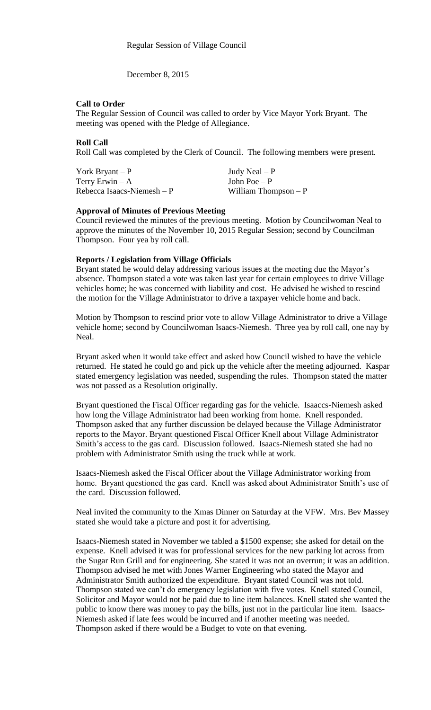December 8, 2015

### **Call to Order**

The Regular Session of Council was called to order by Vice Mayor York Bryant. The meeting was opened with the Pledge of Allegiance.

## **Roll Call**

Roll Call was completed by the Clerk of Council. The following members were present.

| York Bryant $-P$            | Judy Neal $-P$        |
|-----------------------------|-----------------------|
| Terry Erwin $-A$            | John Poe $-P$         |
| Rebecca Isaacs-Niemesh $-P$ | William Thompson $-P$ |

#### **Approval of Minutes of Previous Meeting**

Council reviewed the minutes of the previous meeting. Motion by Councilwoman Neal to approve the minutes of the November 10, 2015 Regular Session; second by Councilman Thompson. Four yea by roll call.

## **Reports / Legislation from Village Officials**

Bryant stated he would delay addressing various issues at the meeting due the Mayor's absence. Thompson stated a vote was taken last year for certain employees to drive Village vehicles home; he was concerned with liability and cost. He advised he wished to rescind the motion for the Village Administrator to drive a taxpayer vehicle home and back.

Motion by Thompson to rescind prior vote to allow Village Administrator to drive a Village vehicle home; second by Councilwoman Isaacs-Niemesh. Three yea by roll call, one nay by Neal.

Bryant asked when it would take effect and asked how Council wished to have the vehicle returned. He stated he could go and pick up the vehicle after the meeting adjourned. Kaspar stated emergency legislation was needed, suspending the rules. Thompson stated the matter was not passed as a Resolution originally.

Bryant questioned the Fiscal Officer regarding gas for the vehicle. Isaaccs-Niemesh asked how long the Village Administrator had been working from home. Knell responded. Thompson asked that any further discussion be delayed because the Village Administrator reports to the Mayor. Bryant questioned Fiscal Officer Knell about Village Administrator Smith's access to the gas card. Discussion followed. Isaacs-Niemesh stated she had no problem with Administrator Smith using the truck while at work.

Isaacs-Niemesh asked the Fiscal Officer about the Village Administrator working from home. Bryant questioned the gas card. Knell was asked about Administrator Smith's use of the card. Discussion followed.

Neal invited the community to the Xmas Dinner on Saturday at the VFW. Mrs. Bev Massey stated she would take a picture and post it for advertising.

Isaacs-Niemesh stated in November we tabled a \$1500 expense; she asked for detail on the expense. Knell advised it was for professional services for the new parking lot across from the Sugar Run Grill and for engineering. She stated it was not an overrun; it was an addition. Thompson advised he met with Jones Warner Engineering who stated the Mayor and Administrator Smith authorized the expenditure. Bryant stated Council was not told. Thompson stated we can't do emergency legislation with five votes. Knell stated Council, Solicitor and Mayor would not be paid due to line item balances. Knell stated she wanted the public to know there was money to pay the bills, just not in the particular line item. Isaacs-Niemesh asked if late fees would be incurred and if another meeting was needed. Thompson asked if there would be a Budget to vote on that evening.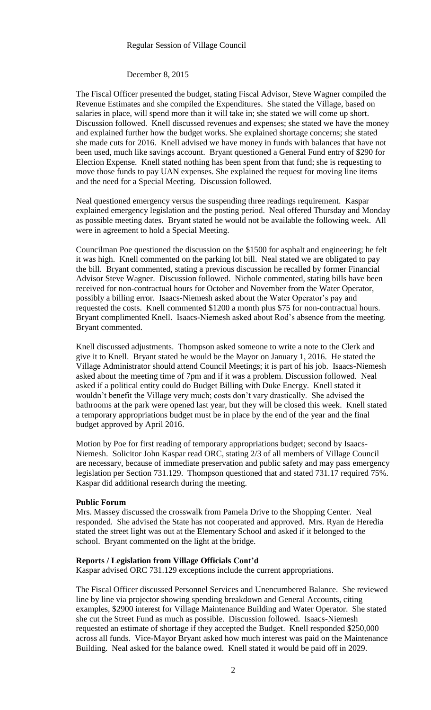#### Regular Session of Village Council

## December 8, 2015

The Fiscal Officer presented the budget, stating Fiscal Advisor, Steve Wagner compiled the Revenue Estimates and she compiled the Expenditures. She stated the Village, based on salaries in place, will spend more than it will take in; she stated we will come up short. Discussion followed. Knell discussed revenues and expenses; she stated we have the money and explained further how the budget works. She explained shortage concerns; she stated she made cuts for 2016. Knell advised we have money in funds with balances that have not been used, much like savings account. Bryant questioned a General Fund entry of \$290 for Election Expense. Knell stated nothing has been spent from that fund; she is requesting to move those funds to pay UAN expenses. She explained the request for moving line items and the need for a Special Meeting. Discussion followed.

Neal questioned emergency versus the suspending three readings requirement. Kaspar explained emergency legislation and the posting period. Neal offered Thursday and Monday as possible meeting dates. Bryant stated he would not be available the following week. All were in agreement to hold a Special Meeting.

Councilman Poe questioned the discussion on the \$1500 for asphalt and engineering; he felt it was high. Knell commented on the parking lot bill. Neal stated we are obligated to pay the bill. Bryant commented, stating a previous discussion he recalled by former Financial Advisor Steve Wagner. Discussion followed. Nichole commented, stating bills have been received for non-contractual hours for October and November from the Water Operator, possibly a billing error. Isaacs-Niemesh asked about the Water Operator's pay and requested the costs. Knell commented \$1200 a month plus \$75 for non-contractual hours. Bryant complimented Knell. Isaacs-Niemesh asked about Rod's absence from the meeting. Bryant commented.

Knell discussed adjustments. Thompson asked someone to write a note to the Clerk and give it to Knell. Bryant stated he would be the Mayor on January 1, 2016. He stated the Village Administrator should attend Council Meetings; it is part of his job. Isaacs-Niemesh asked about the meeting time of 7pm and if it was a problem. Discussion followed. Neal asked if a political entity could do Budget Billing with Duke Energy. Knell stated it wouldn't benefit the Village very much; costs don't vary drastically. She advised the bathrooms at the park were opened last year, but they will be closed this week. Knell stated a temporary appropriations budget must be in place by the end of the year and the final budget approved by April 2016.

Motion by Poe for first reading of temporary appropriations budget; second by Isaacs-Niemesh. Solicitor John Kaspar read ORC, stating 2/3 of all members of Village Council are necessary, because of immediate preservation and public safety and may pass emergency legislation per Section 731.129. Thompson questioned that and stated 731.17 required 75%. Kaspar did additional research during the meeting.

#### **Public Forum**

Mrs. Massey discussed the crosswalk from Pamela Drive to the Shopping Center. Neal responded. She advised the State has not cooperated and approved. Mrs. Ryan de Heredia stated the street light was out at the Elementary School and asked if it belonged to the school. Bryant commented on the light at the bridge.

#### **Reports / Legislation from Village Officials Cont'd**

Kaspar advised ORC 731.129 exceptions include the current appropriations.

The Fiscal Officer discussed Personnel Services and Unencumbered Balance. She reviewed line by line via projector showing spending breakdown and General Accounts, citing examples, \$2900 interest for Village Maintenance Building and Water Operator. She stated she cut the Street Fund as much as possible. Discussion followed. Isaacs-Niemesh requested an estimate of shortage if they accepted the Budget. Knell responded \$250,000 across all funds. Vice-Mayor Bryant asked how much interest was paid on the Maintenance Building. Neal asked for the balance owed. Knell stated it would be paid off in 2029.